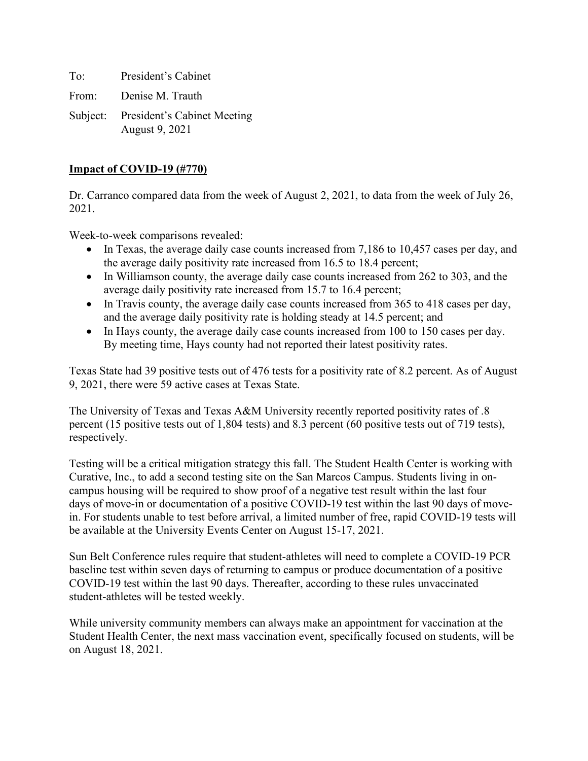To: President's Cabinet From: Denise M. Trauth Subject: President's Cabinet Meeting

August 9, 2021

# **Impact of COVID-19 (#770)**

Dr. Carranco compared data from the week of August 2, 2021, to data from the week of July 26, 2021.

Week-to-week comparisons revealed:

- In Texas, the average daily case counts increased from 7,186 to 10,457 cases per day, and the average daily positivity rate increased from 16.5 to 18.4 percent;
- In Williamson county, the average daily case counts increased from 262 to 303, and the average daily positivity rate increased from 15.7 to 16.4 percent;
- In Travis county, the average daily case counts increased from 365 to 418 cases per day, and the average daily positivity rate is holding steady at 14.5 percent; and
- In Hays county, the average daily case counts increased from 100 to 150 cases per day. By meeting time, Hays county had not reported their latest positivity rates.

Texas State had 39 positive tests out of 476 tests for a positivity rate of 8.2 percent. As of August 9, 2021, there were 59 active cases at Texas State.

The University of Texas and Texas A&M University recently reported positivity rates of .8 percent (15 positive tests out of 1,804 tests) and 8.3 percent (60 positive tests out of 719 tests), respectively.

Testing will be a critical mitigation strategy this fall. The Student Health Center is working with Curative, Inc., to add a second testing site on the San Marcos Campus. Students living in oncampus housing will be required to show proof of a negative test result within the last four days of move-in or documentation of a positive COVID-19 test within the last 90 days of movein. For students unable to test before arrival, a limited number of free, rapid COVID-19 tests will be available at the University Events Center on August 15-17, 2021.

Sun Belt Conference rules require that student-athletes will need to complete a COVID-19 PCR baseline test within seven days of returning to campus or produce documentation of a positive COVID-19 test within the last 90 days. Thereafter, according to these rules unvaccinated student-athletes will be tested weekly.

While university community members can always make an appointment for vaccination at the Student Health Center, the next mass vaccination event, specifically focused on students, will be on August 18, 2021.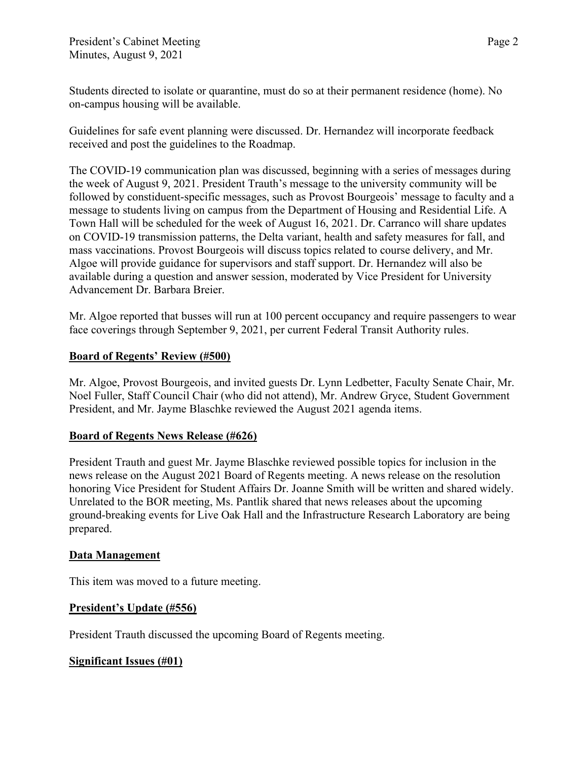Students directed to isolate or quarantine, must do so at their permanent residence (home). No on-campus housing will be available.

Guidelines for safe event planning were discussed. Dr. Hernandez will incorporate feedback received and post the guidelines to the Roadmap.

The COVID-19 communication plan was discussed, beginning with a series of messages during the week of August 9, 2021. President Trauth's message to the university community will be followed by constiduent-specific messages, such as Provost Bourgeois' message to faculty and a message to students living on campus from the Department of Housing and Residential Life. A Town Hall will be scheduled for the week of August 16, 2021. Dr. Carranco will share updates on COVID-19 transmission patterns, the Delta variant, health and safety measures for fall, and mass vaccinations. Provost Bourgeois will discuss topics related to course delivery, and Mr. Algoe will provide guidance for supervisors and staff support. Dr. Hernandez will also be available during a question and answer session, moderated by Vice President for University Advancement Dr. Barbara Breier.

Mr. Algoe reported that busses will run at 100 percent occupancy and require passengers to wear face coverings through September 9, 2021, per current Federal Transit Authority rules.

### **Board of Regents' Review (#500)**

Mr. Algoe, Provost Bourgeois, and invited guests Dr. Lynn Ledbetter, Faculty Senate Chair, Mr. Noel Fuller, Staff Council Chair (who did not attend), Mr. Andrew Gryce, Student Government President, and Mr. Jayme Blaschke reviewed the August 2021 agenda items.

## **Board of Regents News Release (#626)**

President Trauth and guest Mr. Jayme Blaschke reviewed possible topics for inclusion in the news release on the August 2021 Board of Regents meeting. A news release on the resolution honoring Vice President for Student Affairs Dr. Joanne Smith will be written and shared widely. Unrelated to the BOR meeting, Ms. Pantlik shared that news releases about the upcoming ground-breaking events for Live Oak Hall and the Infrastructure Research Laboratory are being prepared.

#### **Data Management**

This item was moved to a future meeting.

## **President's Update (#556)**

President Trauth discussed the upcoming Board of Regents meeting.

## **Significant Issues (#01)**